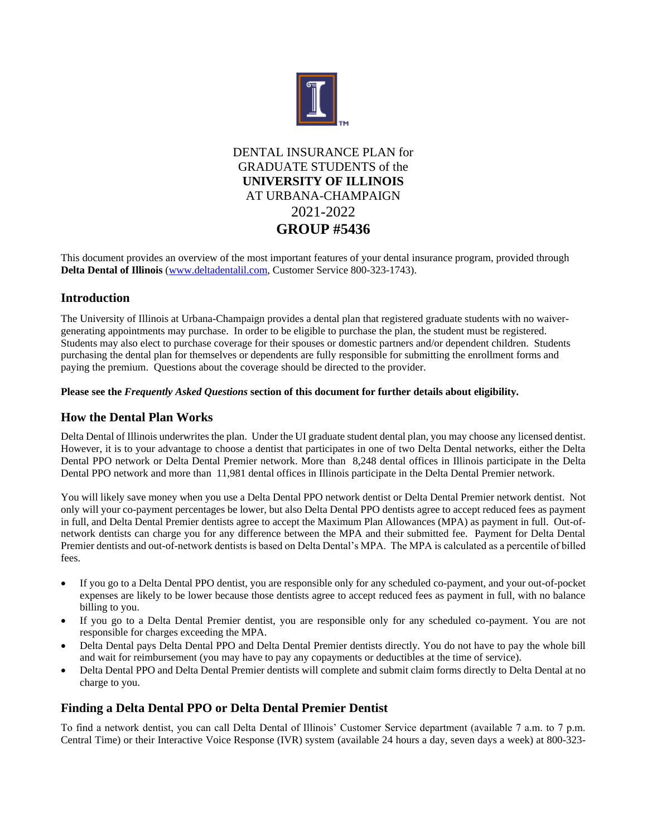

DENTAL INSURANCE PLAN for GRADUATE STUDENTS of the **UNIVERSITY OF ILLINOIS** AT URBANA-CHAMPAIGN 2021-2022 **GROUP #5436**

This document provides an overview of the most important features of your dental insurance program, provided through **Delta Dental of Illinois** [\(www.deltadentalil.com,](http://www.deltadentalil.com/) Customer Service 800-323-1743).

# **Introduction**

The University of Illinois at Urbana-Champaign provides a dental plan that registered graduate students with no waivergenerating appointments may purchase. In order to be eligible to purchase the plan, the student must be registered. Students may also elect to purchase coverage for their spouses or domestic partners and/or dependent children. Students purchasing the dental plan for themselves or dependents are fully responsible for submitting the enrollment forms and paying the premium. Questions about the coverage should be directed to the provider.

# **Please see the** *Frequently Asked Questions* **section of this document for further details about eligibility.**

# **How the Dental Plan Works**

Delta Dental of Illinois underwrites the plan. Under the UI graduate student dental plan, you may choose any licensed dentist. However, it is to your advantage to choose a dentist that participates in one of two Delta Dental networks, either the Delta Dental PPO network or Delta Dental Premier network. More than 8,248 dental offices in Illinois participate in the Delta Dental PPO network and more than 11,981 dental offices in Illinois participate in the Delta Dental Premier network.

You will likely save money when you use a Delta Dental PPO network dentist or Delta Dental Premier network dentist. Not only will your co-payment percentages be lower, but also Delta Dental PPO dentists agree to accept reduced fees as payment in full, and Delta Dental Premier dentists agree to accept the Maximum Plan Allowances (MPA) as payment in full. Out-ofnetwork dentists can charge you for any difference between the MPA and their submitted fee. Payment for Delta Dental Premier dentists and out-of-network dentists is based on Delta Dental's MPA. The MPA is calculated as a percentile of billed fees.

- If you go to a Delta Dental PPO dentist, you are responsible only for any scheduled co-payment, and your out-of-pocket expenses are likely to be lower because those dentists agree to accept reduced fees as payment in full, with no balance billing to you.
- If you go to a Delta Dental Premier dentist, you are responsible only for any scheduled co-payment. You are not responsible for charges exceeding the MPA.
- Delta Dental pays Delta Dental PPO and Delta Dental Premier dentists directly. You do not have to pay the whole bill and wait for reimbursement (you may have to pay any copayments or deductibles at the time of service).
- Delta Dental PPO and Delta Dental Premier dentists will complete and submit claim forms directly to Delta Dental at no charge to you.

# **Finding a Delta Dental PPO or Delta Dental Premier Dentist**

To find a network dentist, you can call Delta Dental of Illinois' Customer Service department (available 7 a.m. to 7 p.m. Central Time) or their Interactive Voice Response (IVR) system (available 24 hours a day, seven days a week) at 800-323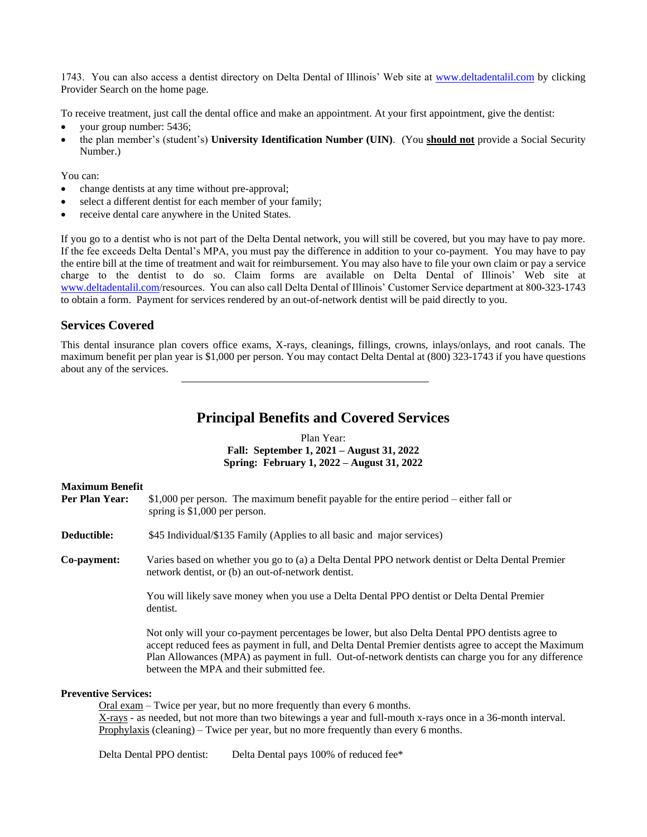1743. You can also access a dentist directory on Delta Dental of Illinois' Web site at [www.deltadentalil.com](http://www.deltadentalil.com/) by clicking Provider Search on the home page.

To receive treatment, just call the dental office and make an appointment. At your first appointment, give the dentist:

- your group number: 5436;
- the plan member's (student's) **University Identification Number (UIN)**. (You **should not** provide a Social Security Number.)

You can:

- change dentists at any time without pre-approval;
- select a different dentist for each member of your family;
- receive dental care anywhere in the United States.

If you go to a dentist who is not part of the Delta Dental network, you will still be covered, but you may have to pay more. If the fee exceeds Delta Dental's MPA, you must pay the difference in addition to your co-payment. You may have to pay the entire bill at the time of treatment and wait for reimbursement. You may also have to file your own claim or pay a service charge to the dentist to do so. Claim forms are available on Delta Dental of Illinois' Web site at [www.deltadentalil.com/](http://www.deltadentalil.com/)resources. You can also call Delta Dental of Illinois' Customer Service department at 800-323-1743 to obtain a form. Payment for services rendered by an out-of-network dentist will be paid directly to you.

# **Services Covered**

This dental insurance plan covers office exams, X-rays, cleanings, fillings, crowns, inlays/onlays, and root canals. The maximum benefit per plan year is \$1,000 per person. You may contact Delta Dental at (800) 323-1743 if you have questions about any of the services.

# **Principal Benefits and Covered Services**

Plan Year: **Fall: September 1, 2021 – August 31, 2022 Spring: February 1, 2022 – August 31, 2022**

#### **Maximum Benefit**

| Per Plan Year:              | \$1,000 per person. The maximum benefit payable for the entire period $-$ either fall or<br>spring is \$1,000 per person.                                                                                                                                                                                                                                   |
|-----------------------------|-------------------------------------------------------------------------------------------------------------------------------------------------------------------------------------------------------------------------------------------------------------------------------------------------------------------------------------------------------------|
| <b>Deductible:</b>          | \$45 Individual/\$135 Family (Applies to all basic and major services)                                                                                                                                                                                                                                                                                      |
| Co-payment:                 | Varies based on whether you go to (a) a Delta Dental PPO network dentist or Delta Dental Premier<br>network dentist, or (b) an out-of-network dentist.                                                                                                                                                                                                      |
|                             | You will likely save money when you use a Delta Dental PPO dentist or Delta Dental Premier<br>dentist.                                                                                                                                                                                                                                                      |
|                             | Not only will your co-payment percentages be lower, but also Delta Dental PPO dentists agree to<br>accept reduced fees as payment in full, and Delta Dental Premier dentists agree to accept the Maximum<br>Plan Allowances (MPA) as payment in full. Out-of-network dentists can charge you for any difference<br>between the MPA and their submitted fee. |
| <b>Preventive Services:</b> |                                                                                                                                                                                                                                                                                                                                                             |

Oral exam – Twice per year, but no more frequently than every 6 months. X-rays - as needed, but not more than two bitewings a year and full-mouth x-rays once in a 36-month interval. Prophylaxis (cleaning) – Twice per year, but no more frequently than every 6 months.

Delta Dental PPO dentist: Delta Dental pays 100% of reduced fee\*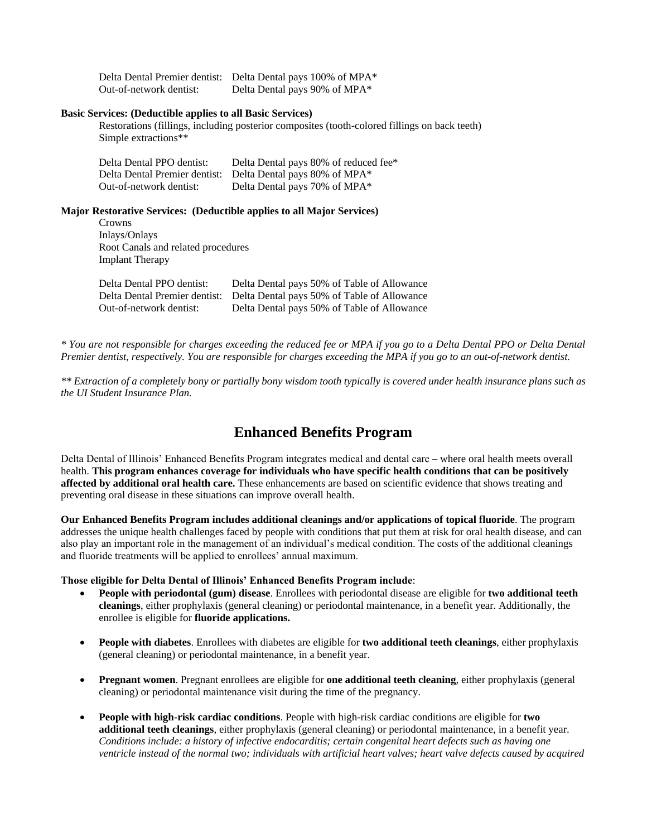|                         | Delta Dental Premier dentist: Delta Dental pays 100% of MPA* |
|-------------------------|--------------------------------------------------------------|
| Out-of-network dentist: | Delta Dental pays 90% of MPA*                                |

#### **Basic Services: (Deductible applies to all Basic Services)**

Restorations (fillings, including posterior composites (tooth-colored fillings on back teeth) Simple extractions\*\*

| Delta Dental PPO dentist: | Delta Dental pays 80% of reduced fee*                       |
|---------------------------|-------------------------------------------------------------|
|                           | Delta Dental Premier dentist: Delta Dental pays 80% of MPA* |
| Out-of-network dentist:   | Delta Dental pays 70% of MPA*                               |

**Major Restorative Services: (Deductible applies to all Major Services)**

| Crowns                             |
|------------------------------------|
| Inlays/Onlays                      |
| Root Canals and related procedures |
| <b>Implant Therapy</b>             |

| Delta Dental PPO dentist: | Delta Dental pays 50% of Table of Allowance                               |
|---------------------------|---------------------------------------------------------------------------|
|                           | Delta Dental Premier dentist: Delta Dental pays 50% of Table of Allowance |
| Out-of-network dentist:   | Delta Dental pays 50% of Table of Allowance                               |

*\* You are not responsible for charges exceeding the reduced fee or MPA if you go to a Delta Dental PPO or Delta Dental Premier dentist, respectively. You are responsible for charges exceeding the MPA if you go to an out-of-network dentist.*

*\*\* Extraction of a completely bony or partially bony wisdom tooth typically is covered under health insurance plans such as the UI Student Insurance Plan.*

# **Enhanced Benefits Program**

Delta Dental of Illinois' Enhanced Benefits Program integrates medical and dental care – where oral health meets overall health. **This program enhances coverage for individuals who have specific health conditions that can be positively affected by additional oral health care.** These enhancements are based on scientific evidence that shows treating and preventing oral disease in these situations can improve overall health.

**Our Enhanced Benefits Program includes additional cleanings and/or applications of topical fluoride**. The program addresses the unique health challenges faced by people with conditions that put them at risk for oral health disease, and can also play an important role in the management of an individual's medical condition. The costs of the additional cleanings and fluoride treatments will be applied to enrollees' annual maximum.

#### **Those eligible for Delta Dental of Illinois' Enhanced Benefits Program include**:

- **People with periodontal (gum) disease**. Enrollees with periodontal disease are eligible for **two additional teeth cleanings**, either prophylaxis (general cleaning) or periodontal maintenance, in a benefit year. Additionally, the enrollee is eligible for **fluoride applications.**
- **People with diabetes**. Enrollees with diabetes are eligible for **two additional teeth cleanings**, either prophylaxis (general cleaning) or periodontal maintenance, in a benefit year.
- **Pregnant women**. Pregnant enrollees are eligible for **one additional teeth cleaning**, either prophylaxis (general cleaning) or periodontal maintenance visit during the time of the pregnancy.
- **People with high-risk cardiac conditions**. People with high-risk cardiac conditions are eligible for **two additional teeth cleanings**, either prophylaxis (general cleaning) or periodontal maintenance, in a benefit year. *Conditions include: a history of infective endocarditis; certain congenital heart defects such as having one ventricle instead of the normal two; individuals with artificial heart valves; heart valve defects caused by acquired*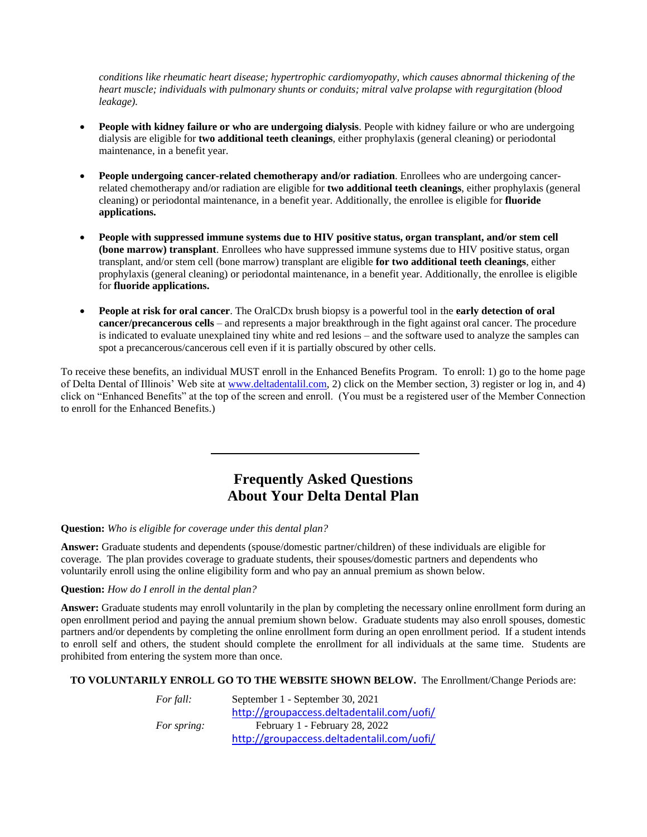*conditions like rheumatic heart disease; hypertrophic cardiomyopathy, which causes abnormal thickening of the heart muscle; individuals with pulmonary shunts or conduits; mitral valve prolapse with regurgitation (blood leakage).*

- **People with kidney failure or who are undergoing dialysis**. People with kidney failure or who are undergoing dialysis are eligible for **two additional teeth cleanings**, either prophylaxis (general cleaning) or periodontal maintenance, in a benefit year.
- **People undergoing cancer-related chemotherapy and/or radiation**. Enrollees who are undergoing cancerrelated chemotherapy and/or radiation are eligible for **two additional teeth cleanings**, either prophylaxis (general cleaning) or periodontal maintenance, in a benefit year. Additionally, the enrollee is eligible for **fluoride applications.**
- **People with suppressed immune systems due to HIV positive status, organ transplant, and/or stem cell (bone marrow) transplant**. Enrollees who have suppressed immune systems due to HIV positive status, organ transplant, and/or stem cell (bone marrow) transplant are eligible **for two additional teeth cleanings**, either prophylaxis (general cleaning) or periodontal maintenance, in a benefit year. Additionally, the enrollee is eligible for **fluoride applications.**
- **People at risk for oral cancer**. The OralCDx brush biopsy is a powerful tool in the **early detection of oral cancer/precancerous cells** – and represents a major breakthrough in the fight against oral cancer. The procedure is indicated to evaluate unexplained tiny white and red lesions – and the software used to analyze the samples can spot a precancerous/cancerous cell even if it is partially obscured by other cells.

To receive these benefits, an individual MUST enroll in the Enhanced Benefits Program. To enroll: 1) go to the home page of Delta Dental of Illinois' Web site at [www.deltadentalil.com,](http://www.deltadentalil.com/) 2) click on the Member section, 3) register or log in, and 4) click on "Enhanced Benefits" at the top of the screen and enroll. (You must be a registered user of the Member Connection to enroll for the Enhanced Benefits.)

# **Frequently Asked Questions About Your Delta Dental Plan**

# **Question:** *Who is eligible for coverage under this dental plan?*

**Answer:** Graduate students and dependents (spouse/domestic partner/children) of these individuals are eligible for coverage. The plan provides coverage to graduate students, their spouses/domestic partners and dependents who voluntarily enroll using the online eligibility form and who pay an annual premium as shown below.

# **Question:** *How do I enroll in the dental plan?*

**Answer:** Graduate students may enroll voluntarily in the plan by completing the necessary online enrollment form during an open enrollment period and paying the annual premium shown below. Graduate students may also enroll spouses, domestic partners and/or dependents by completing the online enrollment form during an open enrollment period. If a student intends to enroll self and others, the student should complete the enrollment for all individuals at the same time. Students are prohibited from entering the system more than once.

# **TO VOLUNTARILY ENROLL GO TO THE WEBSITE SHOWN BELOW.** The Enrollment/Change Periods are:

| For fall:   | September 1 - September 30, 2021           |
|-------------|--------------------------------------------|
|             | http://groupaccess.deltadentalil.com/uofi/ |
| For spring: | February 1 - February 28, 2022             |
|             | http://groupaccess.deltadentalil.com/uofi/ |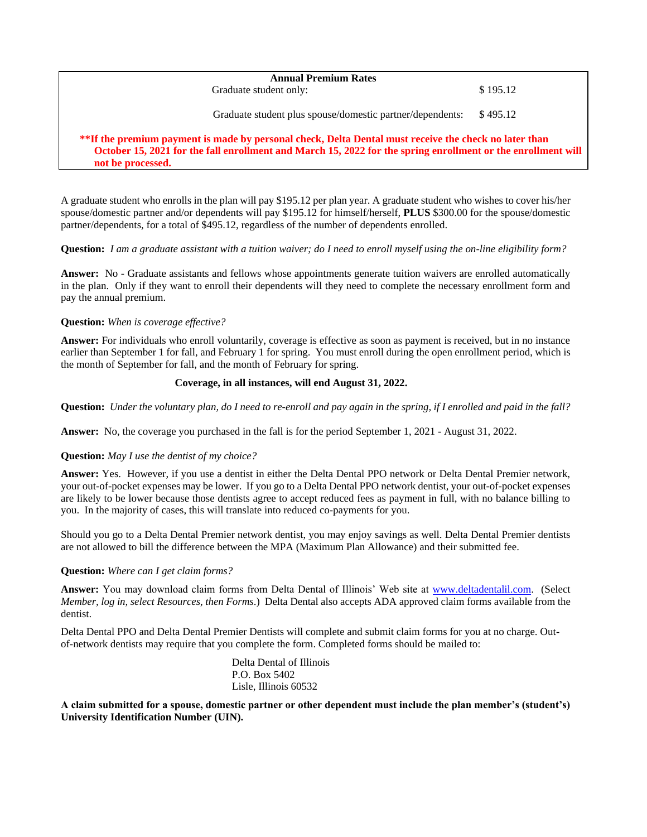| <b>Annual Premium Rates</b>                               |          |  |
|-----------------------------------------------------------|----------|--|
| Graduate student only:                                    | \$195.12 |  |
| Graduate student plus spouse/domestic partner/dependents: | \$495.12 |  |

# **\*\*If the premium payment is made by personal check, Delta Dental must receive the check no later than October 15, 2021 for the fall enrollment and March 15, 2022 for the spring enrollment or the enrollment will not be processed.**

A graduate student who enrolls in the plan will pay \$195.12 per plan year. A graduate student who wishes to cover his/her spouse/domestic partner and/or dependents will pay \$195.12 for himself/herself, **PLUS** \$300.00 for the spouse/domestic partner/dependents, for a total of \$495.12, regardless of the number of dependents enrolled.

#### **Question:** *I am a graduate assistant with a tuition waiver; do I need to enroll myself using the on-line eligibility form?*

**Answer:** No - Graduate assistants and fellows whose appointments generate tuition waivers are enrolled automatically in the plan. Only if they want to enroll their dependents will they need to complete the necessary enrollment form and pay the annual premium.

# **Question:** *When is coverage effective?*

**Answer:** For individuals who enroll voluntarily, coverage is effective as soon as payment is received, but in no instance earlier than September 1 for fall, and February 1 for spring. You must enroll during the open enrollment period, which is the month of September for fall, and the month of February for spring.

#### **Coverage, in all instances, will end August 31, 2022.**

**Question:** *Under the voluntary plan, do I need to re-enroll and pay again in the spring, if I enrolled and paid in the fall?*

**Answer:** No, the coverage you purchased in the fall is for the period September 1, 2021 - August 31, 2022.

#### **Question:** *May I use the dentist of my choice?*

**Answer:** Yes. However, if you use a dentist in either the Delta Dental PPO network or Delta Dental Premier network, your out-of-pocket expenses may be lower. If you go to a Delta Dental PPO network dentist, your out-of-pocket expenses are likely to be lower because those dentists agree to accept reduced fees as payment in full, with no balance billing to you. In the majority of cases, this will translate into reduced co-payments for you.

Should you go to a Delta Dental Premier network dentist, you may enjoy savings as well. Delta Dental Premier dentists are not allowed to bill the difference between the MPA (Maximum Plan Allowance) and their submitted fee.

# **Question:** *Where can I get claim forms?*

**Answer:** You may download claim forms from Delta Dental of Illinois' Web site at [www.deltadentalil.com.](http://www.deltadentalil.com/) (Select *Member, log in, select Resources, then Forms*.) Delta Dental also accepts ADA approved claim forms available from the dentist.

Delta Dental PPO and Delta Dental Premier Dentists will complete and submit claim forms for you at no charge. Outof-network dentists may require that you complete the form. Completed forms should be mailed to:

> Delta Dental of Illinois P.O. Box 5402 Lisle, Illinois 60532

**A claim submitted for a spouse, domestic partner or other dependent must include the plan member's (student's) University Identification Number (UIN).**